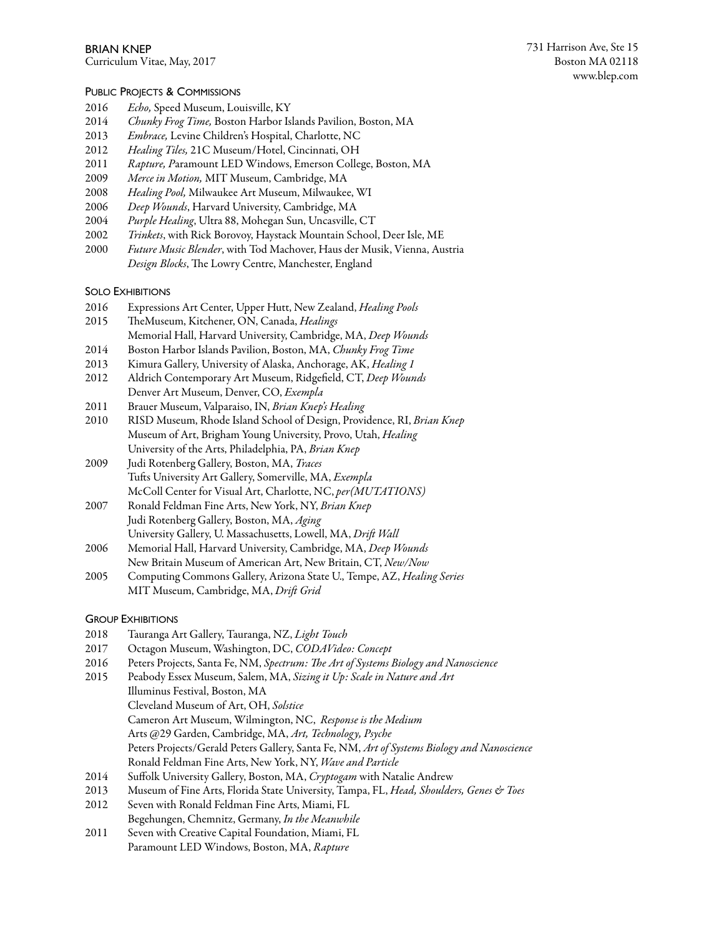# PUBLIC PROJECTS & COMMISSIONS

- 2016 *Echo,* Speed Museum, Louisville, KY
- 2014 *Chunky Frog Time,* Boston Harbor Islands Pavilion, Boston, MA
- Embrace, Levine Children's Hospital, Charlotte, NC
- 2012 *Healing Tiles,* 21C Museum/Hotel, Cincinnati, OH
- 2011 *Rapture, P*aramount LED Windows, Emerson College, Boston, MA
- 2009 *Merce in Motion,* MIT Museum, Cambridge, MA
- 2008 *Healing Pool,* Milwaukee Art Museum, Milwaukee, WI
- 2006 *Deep Wounds*, Harvard University, Cambridge, MA
- 2004 *Purple Healing*, Ultra 88, Mohegan Sun, Uncasville, CT
- 2002 *Trinkets*, with Rick Borovoy, Haystack Mountain School, Deer Isle, ME
- 2000 *Future Music Blender*, with Tod Machover, Haus der Musik, Vienna, Austria Design Blocks, The Lowry Centre, Manchester, England

# SOLO EXHIBITIONS

- 2016 Expressions Art Center, Upper Hutt, New Zealand, *Healing Pools*
- 2015 TheMuseum, Kitchener, ON, Canada, *Healings* Memorial Hall, Harvard University, Cambridge, MA, *Deep Wounds*
- 2014 Boston Harbor Islands Pavilion, Boston, MA, *Chunky Frog Time*
- 2013 Kimura Gallery, University of Alaska, Anchorage, AK, *Healing 1*
- 2012 Aldrich Contemporary Art Museum, Ridgefield, CT, *Deep Wounds* Denver Art Museum, Denver, CO, *Exempla*
- 2011 Brauer Museum, Valparaiso, IN, *Brian Knep's Healing*
- 2010 RISD Museum, Rhode Island School of Design, Providence, RI, *Brian Knep* Museum of Art, Brigham Young University, Provo, Utah, *Healing* University of the Arts, Philadelphia, PA, *Brian Knep*
- 2009 Judi Rotenberg Gallery, Boston, MA, *Traces* Tufs University Art Gallery, Somerville, MA, *Exempla* McColl Center for Visual Art, Charlotte, NC, *per(MUTATIONS)*
- 2007 Ronald Feldman Fine Arts, New York, NY, *Brian Knep* Judi Rotenberg Gallery, Boston, MA, *Aging* University Gallery, U. Massachusetts, Lowell, MA, *Dri*f *Wall*
- 2006 Memorial Hall, Harvard University, Cambridge, MA, *Deep Wounds* New Britain Museum of American Art, New Britain, CT, *New/Now*
- 2005 Computing Commons Gallery, Arizona State U., Tempe, AZ, *Healing Series* MIT Museum, Cambridge, MA, *Dri*f *Grid*

# GROUP EXHIBITIONS

- 2018 Tauranga Art Gallery, Tauranga, NZ, *Light Touch*
- 2017 Octagon Museum, Washington, DC, *CODAVideo: Concept*
- 2016 Peters Projects, Santa Fe, NM, *Spectrum:* T*e Art of Systems Biology and Nanoscience*
- 2015 Peabody Essex Museum, Salem, MA, *Sizing it Up: Scale in Nature and Art*
	- Illuminus Festival, Boston, MA
		- Cleveland Museum of Art, OH, *Solstice*
		- Cameron Art Museum, Wilmington, NC, *Response is the Medium*
		- Arts @29 Garden, Cambridge, MA, *Art, Technology, Psyche*
		- Peters Projects/Gerald Peters Gallery, Santa Fe, NM, *Art of Systems Biology and Nanoscience* Ronald Feldman Fine Arts, New York, NY, *Wave and Particle*
- 2014 Suffolk University Gallery, Boston, MA, *Cryptogam* with Natalie Andrew
- 2013 Museum of Fine Arts, Florida State University, Tampa, FL, *Head, Shoulders, Genes & Toes*
- 2012 Seven with Ronald Feldman Fine Arts, Miami, FL Begehungen, Chemnitz, Germany, *In the Meanwhile*
- 2011 Seven with Creative Capital Foundation, Miami, FL Paramount LED Windows, Boston, MA, *Rapture*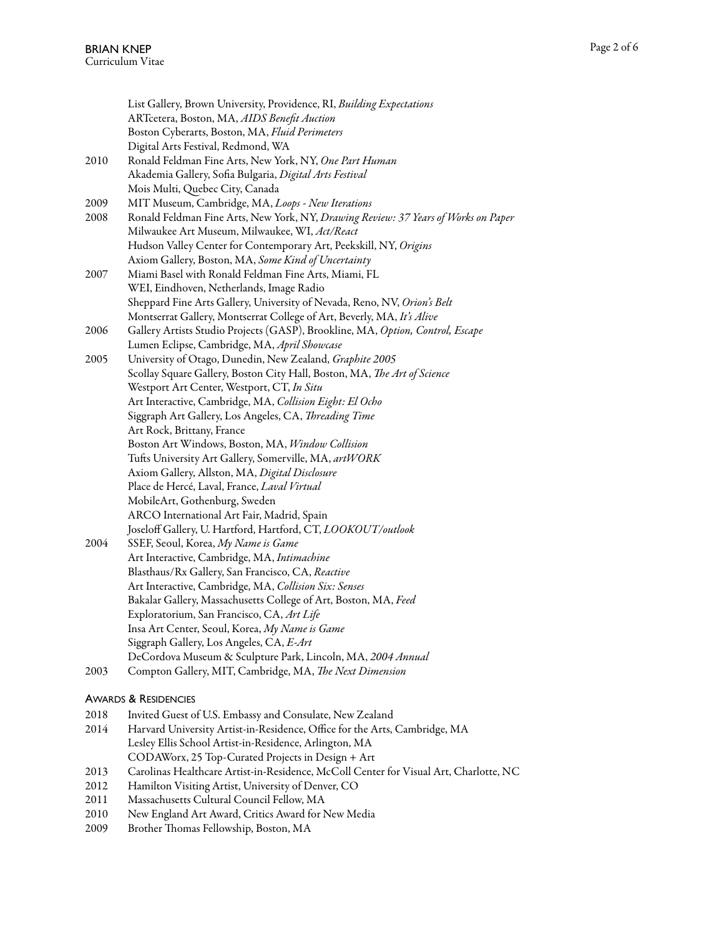|      | List Gallery, Brown University, Providence, RI, Building Expectations<br>ARTcetera, Boston, MA, AIDS Benefit Auction<br>Boston Cyberarts, Boston, MA, Fluid Perimeters<br>Digital Arts Festival, Redmond, WA |
|------|--------------------------------------------------------------------------------------------------------------------------------------------------------------------------------------------------------------|
| 2010 | Ronald Feldman Fine Arts, New York, NY, One Part Human<br>Akademia Gallery, Sofia Bulgaria, Digital Arts Festival<br>Mois Multi, Quebec City, Canada                                                         |
| 2009 | MIT Museum, Cambridge, MA, Loops - New Iterations                                                                                                                                                            |
| 2008 | Ronald Feldman Fine Arts, New York, NY, Drawing Review: 37 Years of Works on Paper<br>Milwaukee Art Museum, Milwaukee, WI, Act/React                                                                         |
|      | Hudson Valley Center for Contemporary Art, Peekskill, NY, Origins                                                                                                                                            |
|      | Axiom Gallery, Boston, MA, Some Kind of Uncertainty                                                                                                                                                          |
| 2007 | Miami Basel with Ronald Feldman Fine Arts, Miami, FL                                                                                                                                                         |
|      | WEI, Eindhoven, Netherlands, Image Radio                                                                                                                                                                     |
|      | Sheppard Fine Arts Gallery, University of Nevada, Reno, NV, Orion's Belt                                                                                                                                     |
|      | Montserrat Gallery, Montserrat College of Art, Beverly, MA, It's Alive                                                                                                                                       |
| 2006 | Gallery Artists Studio Projects (GASP), Brookline, MA, Option, Control, Escape                                                                                                                               |
|      | Lumen Eclipse, Cambridge, MA, April Showcase                                                                                                                                                                 |
| 2005 | University of Otago, Dunedin, New Zealand, Graphite 2005                                                                                                                                                     |
|      | Scollay Square Gallery, Boston City Hall, Boston, MA, The Art of Science                                                                                                                                     |
|      | Westport Art Center, Westport, CT, In Situ                                                                                                                                                                   |
|      | Art Interactive, Cambridge, MA, Collision Eight: El Ocho                                                                                                                                                     |
|      | Siggraph Art Gallery, Los Angeles, CA, Threading Time                                                                                                                                                        |
|      | Art Rock, Brittany, France                                                                                                                                                                                   |
|      | Boston Art Windows, Boston, MA, Window Collision                                                                                                                                                             |
|      | Tufts University Art Gallery, Somerville, MA, artWORK                                                                                                                                                        |
|      | Axiom Gallery, Allston, MA, Digital Disclosure                                                                                                                                                               |
|      | Place de Hercé, Laval, France, Laval Virtual                                                                                                                                                                 |
|      | MobileArt, Gothenburg, Sweden                                                                                                                                                                                |
|      | ARCO International Art Fair, Madrid, Spain                                                                                                                                                                   |
|      | Joseloff Gallery, U. Hartford, Hartford, CT, LOOKOUT/outlook                                                                                                                                                 |
| 2004 | SSEF, Seoul, Korea, My Name is Game                                                                                                                                                                          |
|      | Art Interactive, Cambridge, MA, Intimachine                                                                                                                                                                  |
|      | Blasthaus/Rx Gallery, San Francisco, CA, Reactive                                                                                                                                                            |
|      | Art Interactive, Cambridge, MA, Collision Six: Senses                                                                                                                                                        |
|      | Bakalar Gallery, Massachusetts College of Art, Boston, MA, Feed                                                                                                                                              |
|      | Exploratorium, San Francisco, CA, Art Life                                                                                                                                                                   |
|      | Insa Art Center, Seoul, Korea, My Name is Game                                                                                                                                                               |
|      | Siggraph Gallery, Los Angeles, CA, E-Art                                                                                                                                                                     |
|      | DeCordova Museum & Sculpture Park, Lincoln, MA, 2004 Annual                                                                                                                                                  |
| 2003 | Compton Gallery, MIT, Cambridge, MA, The Next Dimension                                                                                                                                                      |

### AWARDS & RESIDENCIES

- 2018 Invited Guest of U.S. Embassy and Consulate, New Zealand<br>2014 Harvard University Artist-in-Residence, Office for the Arts,
- Harvard University Artist-in-Residence, Office for the Arts, Cambridge, MA Lesley Ellis School Artist-in-Residence, Arlington, MA CODAWorx, 25 Top-Curated Projects in Design + Art
- 2013 Carolinas Healthcare Artist-in-Residence, McColl Center for Visual Art, Charlotte, NC
- 2012 Hamilton Visiting Artist, University of Denver, CO<br>2011 Massachusetts Cultural Council Fellow, MA
- Massachusetts Cultural Council Fellow, MA
- 2010 New England Art Award, Critics Award for New Media
- 2009 Brother Thomas Fellowship, Boston, MA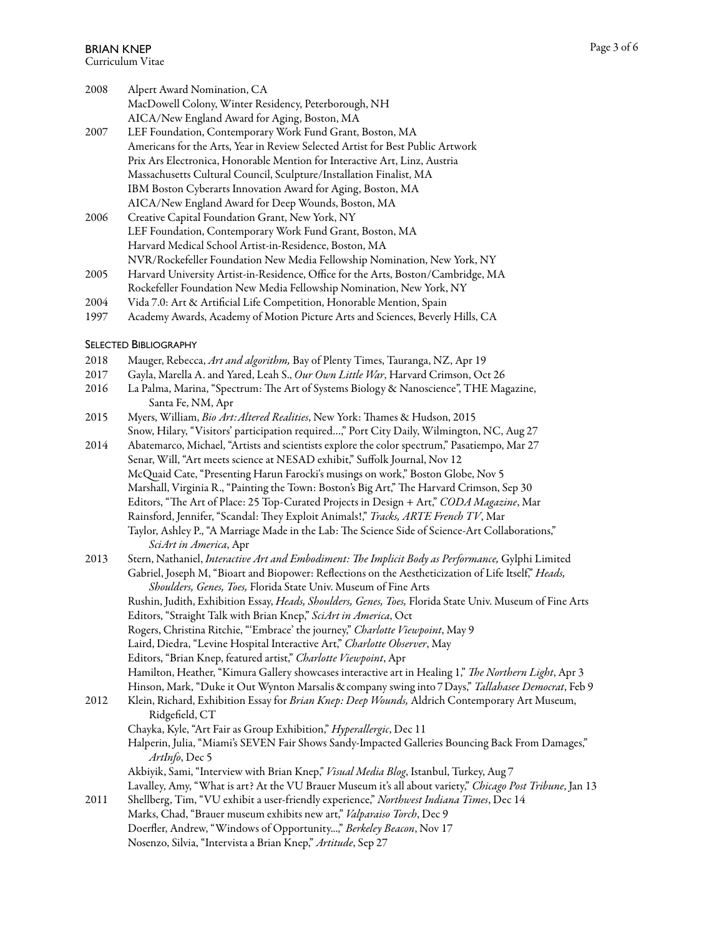| 2008 | Alpert Award Nomination, CA                                                    |
|------|--------------------------------------------------------------------------------|
|      | MacDowell Colony, Winter Residency, Peterborough, NH                           |
|      | AICA/New England Award for Aging, Boston, MA                                   |
| 2007 | LEF Foundation, Contemporary Work Fund Grant, Boston, MA                       |
|      | Americans for the Arts, Year in Review Selected Artist for Best Public Artwork |
|      | Prix Ars Electronica, Honorable Mention for Interactive Art, Linz, Austria     |
|      | Massachusetts Cultural Council, Sculpture/Installation Finalist, MA            |
|      | IBM Boston Cyberarts Innovation Award for Aging, Boston, MA                    |
|      | AICA/New England Award for Deep Wounds, Boston, MA                             |
| 2006 | Creative Capital Foundation Grant, New York, NY                                |
|      | LEF Foundation, Contemporary Work Fund Grant, Boston, MA                       |
|      | Harvard Medical School Artist-in-Residence, Boston, MA                         |
|      | NVR/Rockefeller Foundation New Media Fellowship Nomination, New York, NY       |

- 2005 Harvard University Artist-in-Residence, Office for the Arts, Boston/Cambridge, MA Rockefeller Foundation New Media Fellowship Nomination, New York, NY
- 2004 Vida 7.0: Art & Artificial Life Competition, Honorable Mention, Spain
- 1997 Academy Awards, Academy of Motion Picture Arts and Sciences, Beverly Hills, CA

### SELECTED BIBLIOGRAPHY

- 2018 Mauger, Rebecca, *Art and algorithm,* Bay of Plenty Times, Tauranga, NZ, Apr 19
- 2017 Gayla, Marella A. and Yared, Leah S., *Our Own Little War*, Harvard Crimson, Oct 26
- 2016 La Palma, Marina, "Spectrum: The Art of Systems Biology & Nanoscience", THE Magazine, Santa Fe, NM, Apr
- 2015 Myers, William, *Bio Art:Altered Realities*, New York: Tames & Hudson, 2015 Snow, Hilary, "Visitors' participation required…," Port City Daily, Wilmington, NC, Aug 27
- 2014 Abatemarco, Michael, "Artists and scientists explore the color spectrum," Pasatiempo, Mar 27 Senar, Will, "Art meets science at NESAD exhibit," Suffolk Journal, Nov 12 McQuaid Cate, "Presenting Harun Farocki's musings on work," Boston Globe, Nov 5 Marshall, Virginia R., "Painting the Town: Boston's Big Art," The Harvard Crimson, Sep 30 Editors, "The Art of Place: 25 Top-Curated Projects in Design + Art," *CODA Magazine*, Mar Rainsford, Jennifer, "Scandal: They Exploit Animals!," *Tracks, ARTE French TV*, Mar Taylor, Ashley P., "A Marriage Made in the Lab: The Science Side of Science-Art Collaborations,"  *SciArt in America*, Apr
- 2013 Stern, Nathaniel, *Interactive Art and Embodiment:* T*e Implicit Body as Performance,* Gylphi Limited Gabriel, Joseph M, "Bioart and Biopower: Reflections on the Aestheticization of Life Itself," *Heads, Shoulders, Genes, Toes,* Florida State Univ. Museum of Fine Arts
	- Rushin, Judith, Exhibition Essay, *Heads, Shoulders, Genes, Toes,* Florida State Univ. Museum of Fine Arts Editors, "Straight Talk with Brian Knep," *SciArt in America*, Oct
	- Rogers, Christina Ritchie, "'Embrace' the journey," *Charlotte Viewpoint*, May 9
	- Laird, Diedra, "Levine Hospital Interactive Art," *Charlotte Observer*, May
	- Editors, "Brian Knep, featured artist," *Charlotte Viewpoint*, Apr
	- Hamilton, Heather, "Kimura Gallery showcases interactive art in Healing 1," T*e Northern Light*, Apr 3
	- Hinson, Mark, "Duke it Out Wynton Marsalis & company swing into 7 Days," *Tallahasee Democrat*, Feb 9
- 2012 Klein, Richard, Exhibition Essay for *Brian Knep: Deep Wounds,* Aldrich Contemporary Art Museum, Ridgefield, CT
	- Chayka, Kyle, "Art Fair as Group Exhibition," *Hyperallergic*, Dec 11
	- Halperin, Julia, "Miami's SEVEN Fair Shows Sandy-Impacted Galleries Bouncing Back From Damages," *ArtInfo*, Dec 5
- Akbiyik, Sami, "Interview with Brian Knep," *Visual Media Blog*, Istanbul, Turkey, Aug 7 Lavalley, Amy, "What is art? At the VU Brauer Museum it's all about variety," *Chicago Post Tribune*, Jan 13 2011 Shellberg, Tim, "VU exhibit a user-friendly experience," *Northwest Indiana Times*, Dec 14
- Marks, Chad, "Brauer museum exhibits new art," *Valparaiso Torch*, Dec 9 Doerfler, Andrew, "Windows of Opportunity...," *Berkeley Beacon*, Nov 17 Nosenzo, Silvia, "Intervista a Brian Knep," *Artitude*, Sep 27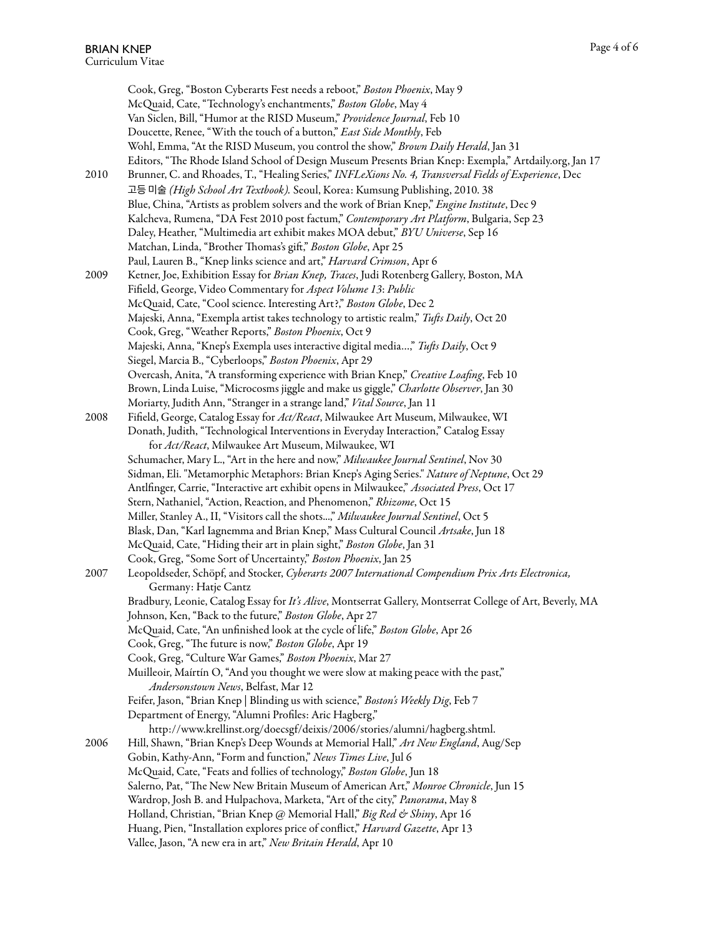Cook, Greg, "Boston Cyberarts Fest needs a reboot," *Boston Phoenix*, May 9 McQuaid, Cate, "Technology's enchantments," *Boston Globe*, May 4 Van Siclen, Bill, "Humor at the RISD Museum," *Providence Journal*, Feb 10 Doucette, Renee, "With the touch of a button," *East Side Monthly*, Feb Wohl, Emma, "At the RISD Museum, you control the show," *Brown Daily Herald*, Jan 31 Editors, "The Rhode Island School of Design Museum Presents Brian Knep: Exempla," Artdaily.org, Jan 17 2010 Brunner, C. and Rhoades, T., "Healing Series," *INFLeXions No. 4, Trans*v*ersal Fields of Experience*, Dec 고등 미술 *(High School Art Textbook).* Seoul, Korea: Kumsung Publishing, 2010. 38 Blue, China, "Artists as problem solvers and the work of Brian Knep," *Engine Institute*, Dec 9 Kalcheva, Rumena, "DA Fest 2010 post factum," *Contemporary Art Platform*, Bulgaria, Sep 23 Daley, Heather, "Multimedia art exhibit makes MOA debut," *BYU Uni*v*erse*, Sep 16 Matchan, Linda, "Brother Thomas's gift," Boston Globe, Apr 25 Paul, Lauren B., "Knep links science and art," *Harvard Crimson*, Apr 6 2009 Ketner, Joe, Exhibition Essay for *Brian Knep, Traces*, Judi Rotenberg Gallery, Boston, MA Fifield, George, Video Commentary for *Aspect Volume 13*: *Public* McQuaid, Cate, "Cool science. Interesting Art?," *Boston Globe*, Dec 2 Majeski, Anna, "Exempla artist takes technology to artistic realm," *Tu*f*s Daily*, Oct 20 Cook, Greg, "Weather Reports," *Boston Phoenix*, Oct 9 Majeski, Anna, "Knep's Exempla uses interactive digital media…," *Tu*f*s Daily*, Oct 9 Siegel, Marcia B., "Cyberloops," *Boston Phoenix*, Apr 29 Overcash, Anita, "A transforming experience with Brian Knep," *Creative Loa*fi*ng*, Feb 10 Brown, Linda Luise, "Microcosms jiggle and make us giggle," *Charlotte Observer*, Jan 30 Moriarty, Judith Ann, "Stranger in a strange land," *Vital Source*, Jan 11 2008 Fifield, George, Catalog Essay for *Act/React*, Milwaukee Art Museum, Milwaukee, WI Donath, Judith, "Technological Interventions in Everyday Interaction," Catalog Essay for *Act/React*, Milwaukee Art Museum, Milwaukee, WI Schumacher, Mary L., "Art in the here and now," *Milwaukee Journal Sentinel*, Nov 30 Sidman, Eli. "Metamorphic Metaphors: Brian Knep's Aging Series." *Nature of Neptune*, Oct 29 Antlfinger, Carrie, "Interactive art exhibit opens in Milwaukee," *Associated Press*, Oct 17 Stern, Nathaniel, "Action, Reaction, and Phenomenon," *Rhizome*, Oct 15 Miller, Stanley A., II, "Visitors call the shots...," *Milwaukee Journal Sentinel*, Oct 5 Blask, Dan, "Karl Iagnemma and Brian Knep," Mass Cultural Council *Artsake*, Jun 18 McQuaid, Cate, "Hiding their art in plain sight," *Boston Globe*, Jan 31 Cook, Greg, "Some Sort of Uncertainty," *Boston Phoenix*, Jan 25 2007 Leopoldseder, Schöpf, and Stocker, *Cyberarts 2007 International Compendium Prix Arts Electronica,*  Germany: Hatje Cantz Bradbury, Leonie, Catalog Essay for *It's Ali*v*e*, Montserrat Gallery, Montserrat College of Art, Beverly, MA Johnson, Ken, "Back to the future," *Boston Globe*, Apr 27 McQuaid, Cate, "An unfinished look at the cycle of life," *Boston Globe*, Apr 26 Cook, Greg, "The future is now," Boston Globe, Apr 19 Cook, Greg, "Culture War Games," *Boston Phoenix*, Mar 27 Muilleoir, Maírtín O, "And you thought we were slow at making peace with the past," *Andersonstown News*, Belfast, Mar 12 Feifer, Jason, "Brian Knep | Blinding us with science," *Boston's Weekly Dig*, Feb 7 Department of Energy, "Alumni Profiles: Aric Hagberg," http://www.krellinst.org/doecsgf/deixis/2006/stories/alumni/hagberg.shtml. 2006 Hill, Shawn, "Brian Knep's Deep Wounds at Memorial Hall," *Art New England*, Aug/Sep Gobin, Kathy-Ann, "Form and function," *News Times Live*, Jul 6 McQuaid, Cate, "Feats and follies of technology," *Boston Globe*, Jun 18 Salerno, Pat, "The New New Britain Museum of American Art," Monroe Chronicle, Jun 15 Wardrop, Josh B. and Hulpachova, Marketa, "Art of the city," *Panorama*, May 8 Holland, Christian, "Brian Knep @ Memorial Hall," *Big Red & Shiny*, Apr 16 Huang, Pien, "Installation explores price of conflict," *Harvard Gazette*, Apr 13 Vallee, Jason, "A new era in art," *New Britain Herald*, Apr 10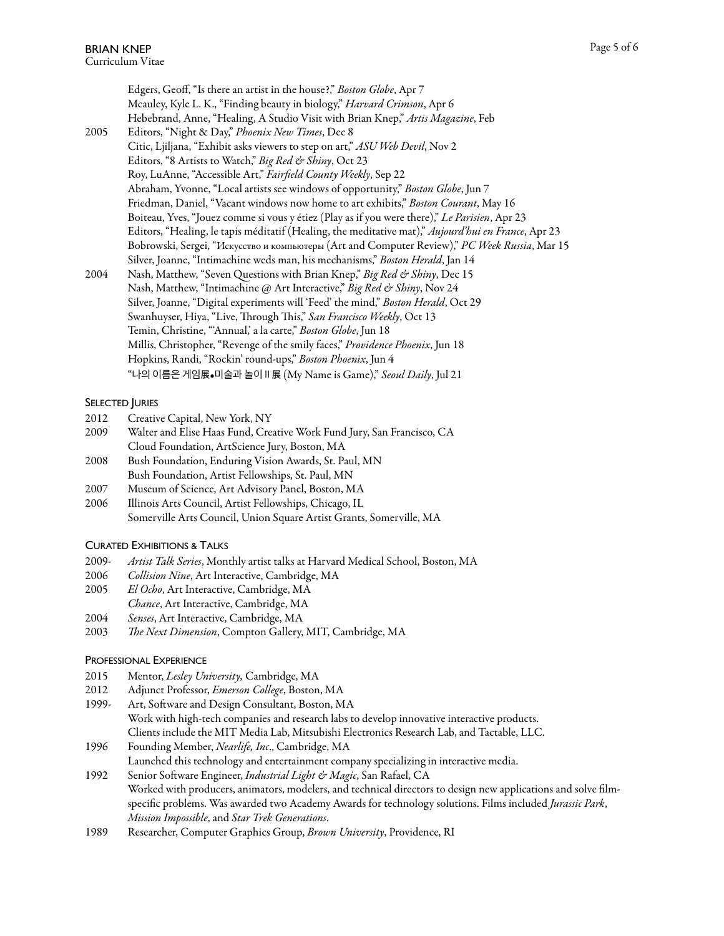Edgers, Geoff, "Is there an artist in the house?," *Boston Globe*, Apr 7 Mcauley, Kyle L. K., "Finding beauty in biology," *Harvard Crimson*, Apr 6 Hebebrand, Anne, "Healing, A Studio Visit with Brian Knep," *Artis Magazine*, Feb 2005 Editors, "Night & Day," *Phoenix New Times*, Dec 8 Citic, Ljiljana, "Exhibit asks viewers to step on art," *ASU Web Devil*, Nov 2 Editors, "8 Artists to Watch," *Big Red & Shiny*, Oct 23 Roy, LuAnne, "Accessible Art," *Fair*fi*eld County Weekly*, Sep 22 Abraham, Yvonne, "Local artists see windows of opportunity," *Boston Globe*, Jun 7 Friedman, Daniel, "Vacant windows now home to art exhibits," *Boston Courant*, May 16 Boiteau, Yves, "Jouez comme si vous y étiez (Play as if you were there)," *Le Parisien*, Apr 23 Editors, "Healing, le tapis méditatif (Healing, the meditative mat)," *Aujourd'hui en France*, Apr 23 Bobrowski, Sergei, "Искусство и компьютеры (Art and Computer Review)," *PC Week Russia*, Mar 15 Silver, Joanne, "Intimachine weds man, his mechanisms," *Boston Herald*, Jan 14 2004 Nash, Matthew, "Seven Questions with Brian Knep," *Big Red & Shiny*, Dec 15 Nash, Matthew, "Intimachine @ Art Interactive," *Big Red & Shiny*, Nov 24 Silver, Joanne, "Digital experiments will 'Feed' the mind," *Boston Herald*, Oct 29 Swanhuyser, Hiya, "Live, Through This," San Francisco Weekly, Oct 13 Temin, Christine, "'Annual,' a la carte," *Boston Globe*, Jun 18 Millis, Christopher, "Revenge of the smily faces," *Providence Phoenix*, Jun 18 Hopkins, Randi, "Rockin' round-ups," *Boston Phoenix*, Jun 4 "나의 이름은 게임展•미술과 놀이Ⅱ展 (My Name is Game)," *Seoul Daily*, Jul 21

#### SELECTED JURIES

- 2012 Creative Capital, New York, NY
- 2009 Walter and Elise Haas Fund, Creative Work Fund Jury, San Francisco, CA Cloud Foundation, ArtScience Jury, Boston, MA
- 2008 Bush Foundation, Enduring Vision Awards, St. Paul, MN Bush Foundation, Artist Fellowships, St. Paul, MN
- 2007 Museum of Science, Art Advisory Panel, Boston, MA
- 2006 Illinois Arts Council, Artist Fellowships, Chicago, IL Somerville Arts Council, Union Square Artist Grants, Somerville, MA

#### CURATED EXHIBITIONS & TALKS

- 2009- *Artist Talk Series*, Monthly artist talks at Harvard Medical School, Boston, MA
- 2006 *Collision Nine*, Art Interactive, Cambridge, MA
- 2005 *El Ocho*, Art Interactive, Cambridge, MA
- *Chance*, Art Interactive, Cambridge, MA
- 2004 *Senses*, Art Interactive, Cambridge, MA
- 2003 T*e Next Dimension*, Compton Gallery, MIT, Cambridge, MA

# PROFESSIONAL EXPERIENCE

- 2015 Mentor, *Lesley Uni*v*ersity,* Cambridge, MA
- 2012 Adjunct Professor, *Emerson College*, Boston, MA
- 1999- Art, Sofware and Design Consultant, Boston, MA Work with high-tech companies and research labs to develop innovative interactive products. Clients include the MIT Media Lab, Mitsubishi Electronics Research Lab, and Tactable, LLC.
- 1996 Founding Member, *Nearlife, Inc*., Cambridge, MA Launched this technology and entertainment company specializing in interactive media.
- 1992 Senior Sofware Engineer, *Industrial Light & Magic*, San Rafael, CA Worked with producers, animators, modelers, and technical directors to design new applications and solve filmspecific problems. Was awarded two Academy Awards for technology solutions. Films included *Jurassic Park*, *Mission Impossible*, and *Star Trek Generations*.
- 1989 Researcher, Computer Graphics Group, *Brown Uni*v*ersity*, Providence, RI